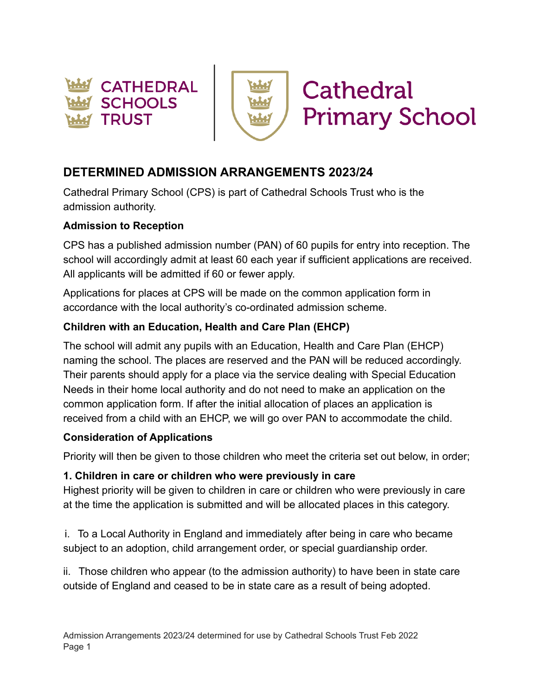



# **DETERMINED ADMISSION ARRANGEMENTS 2023/24**

Cathedral Primary School (CPS) is part of Cathedral Schools Trust who is the admission authority.

#### **Admission to Reception**

CPS has a published admission number (PAN) of 60 pupils for entry into reception. The school will accordingly admit at least 60 each year if sufficient applications are received. All applicants will be admitted if 60 or fewer apply.

Applications for places at CPS will be made on the common application form in accordance with the local authority's co-ordinated admission scheme.

### **Children with an Education, Health and Care Plan (EHCP)**

The school will admit any pupils with an Education, Health and Care Plan (EHCP) naming the school. The places are reserved and the PAN will be reduced accordingly. Their parents should apply for a place via the service dealing with Special Education Needs in their home local authority and do not need to make an application on the common application form. If after the initial allocation of places an application is received from a child with an EHCP, we will go over PAN to accommodate the child.

#### **Consideration of Applications**

Priority will then be given to those children who meet the criteria set out below, in order;

#### **1. Children in care or children who were previously in care**

Highest priority will be given to children in care or children who were previously in care at the time the application is submitted and will be allocated places in this category.

i. To a Local Authority in England and immediately after being in care who became subject to an adoption, child arrangement order, or special guardianship order.

ii. Those children who appear (to the admission authority) to have been in state care outside of England and ceased to be in state care as a result of being adopted.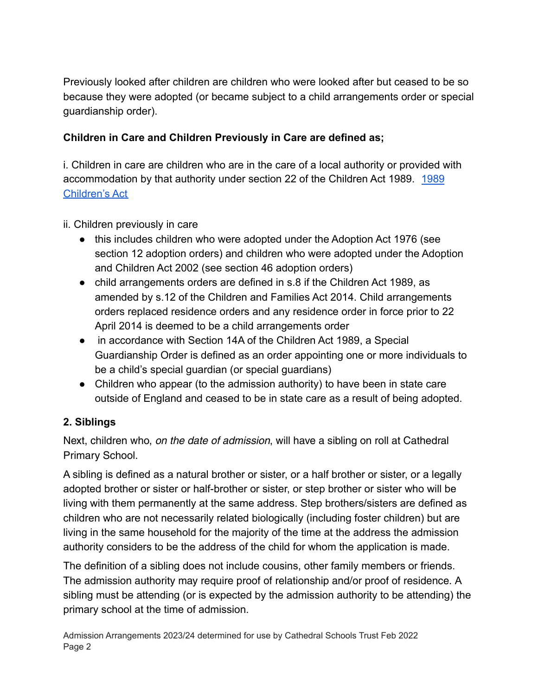Previously looked after children are children who were looked after but ceased to be so because they were adopted (or became subject to a child arrangements order or special guardianship order).

### **Children in Care and Children Previously in Care are defined as;**

i. Children in care are children who are in the care of a local authority or provided with accommodation by that authority under section 22 of the Children Act 1989. [1989](https://www.legislation.gov.uk/ukpga/1989/41/contents) [Children's Act](https://www.legislation.gov.uk/ukpga/1989/41/contents)

#### ii. Children previously in care

- this includes children who were adopted under the Adoption Act 1976 (see section 12 adoption orders) and children who were adopted under the Adoption and Children Act 2002 (see section 46 adoption orders)
- child arrangements orders are defined in s.8 if the Children Act 1989, as amended by s.12 of the Children and Families Act 2014. Child arrangements orders replaced residence orders and any residence order in force prior to 22 April 2014 is deemed to be a child arrangements order
- in accordance with Section 14A of the Children Act 1989, a Special Guardianship Order is defined as an order appointing one or more individuals to be a child's special guardian (or special guardians)
- Children who appear (to the admission authority) to have been in state care outside of England and ceased to be in state care as a result of being adopted.

### **2. Siblings**

Next, children who, *on the date of admission*, will have a sibling on roll at Cathedral Primary School.

A sibling is defined as a natural brother or sister, or a half brother or sister, or a legally adopted brother or sister or half-brother or sister, or step brother or sister who will be living with them permanently at the same address. Step brothers/sisters are defined as children who are not necessarily related biologically (including foster children) but are living in the same household for the majority of the time at the address the admission authority considers to be the address of the child for whom the application is made.

The definition of a sibling does not include cousins, other family members or friends. The admission authority may require proof of relationship and/or proof of residence. A sibling must be attending (or is expected by the admission authority to be attending) the primary school at the time of admission.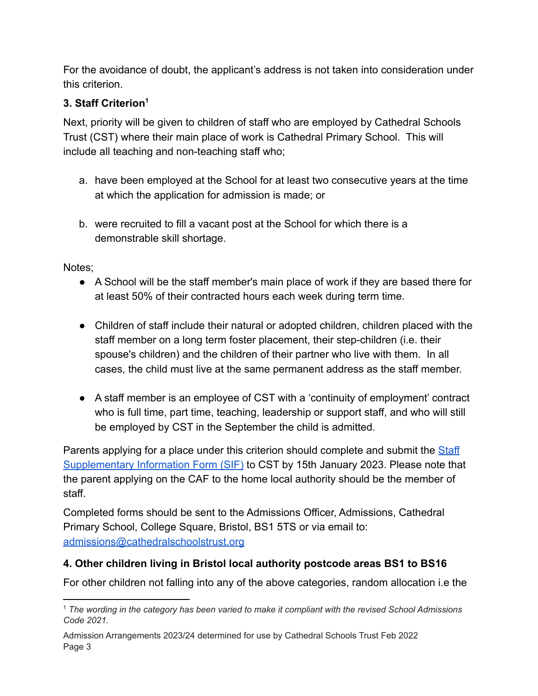For the avoidance of doubt, the applicant's address is not taken into consideration under this criterion.

## **3. Staff Criterion<sup>1</sup>**

Next, priority will be given to children of staff who are employed by Cathedral Schools Trust (CST) where their main place of work is Cathedral Primary School. This will include all teaching and non-teaching staff who;

- a. have been employed at the School for at least two consecutive years at the time at which the application for admission is made; or
- b. were recruited to fill a vacant post at the School for which there is a demonstrable skill shortage.

Notes;

- A School will be the staff member's main place of work if they are based there for at least 50% of their contracted hours each week during term time.
- Children of staff include their natural or adopted children, children placed with the staff member on a long term foster placement, their step-children (i.e. their spouse's children) and the children of their partner who live with them. In all cases, the child must live at the same permanent address as the staff member.
- A staff member is an employee of CST with a 'continuity of employment' contract who is full time, part time, teaching, leadership or support staff, and who will still be employed by CST in the September the child is admitted.

Parents applying for a place under this criterion should complete and submit the [Staff](https://docs.google.com/document/d/17bxLZeBZh1AMeIINexiuXE4opx-FiehT/edit?usp=sharing&ouid=111971969837556975984&rtpof=true&sd=true) [Supplementary Information Form \(SIF\)](https://docs.google.com/document/d/17bxLZeBZh1AMeIINexiuXE4opx-FiehT/edit?usp=sharing&ouid=111971969837556975984&rtpof=true&sd=true) to CST by 15th January 2023. Please note that the parent applying on the CAF to the home local authority should be the member of staff.

Completed forms should be sent to the Admissions Officer, Admissions, Cathedral Primary School, College Square, Bristol, BS1 5TS or via email to: [admissions@cathedralschoolstrust.org](mailto:admissions@cathedralschoolstrust.org)

## **4. Other children living in Bristol local authority postcode areas BS1 to BS16**

For other children not falling into any of the above categories, random allocation i.e the

<sup>1</sup> *The wording in the category has been varied to make it compliant with the revised School Admissions Code 2021.*

Admission Arrangements 2023/24 determined for use by Cathedral Schools Trust Feb 2022 Page 3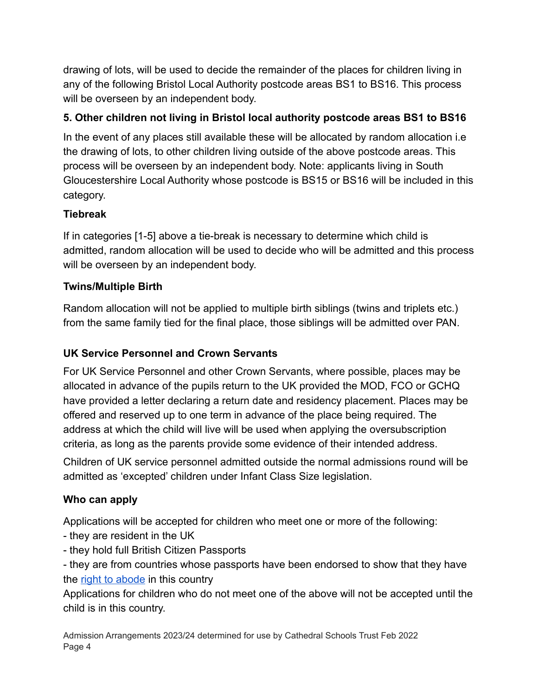drawing of lots, will be used to decide the remainder of the places for children living in any of the following Bristol Local Authority postcode areas BS1 to BS16. This process will be overseen by an independent body.

## **5. Other children not living in Bristol local authority postcode areas BS1 to BS16**

In the event of any places still available these will be allocated by random allocation i.e the drawing of lots, to other children living outside of the above postcode areas. This process will be overseen by an independent body. Note: applicants living in South Gloucestershire Local Authority whose postcode is BS15 or BS16 will be included in this category.

## **Tiebreak**

If in categories [1-5] above a tie-break is necessary to determine which child is admitted, random allocation will be used to decide who will be admitted and this process will be overseen by an independent body.

# **Twins/Multiple Birth**

Random allocation will not be applied to multiple birth siblings (twins and triplets etc.) from the same family tied for the final place, those siblings will be admitted over PAN.

## **UK Service Personnel and Crown Servants**

For UK Service Personnel and other Crown Servants, where possible, places may be allocated in advance of the pupils return to the UK provided the MOD, FCO or GCHQ have provided a letter declaring a return date and residency placement. Places may be offered and reserved up to one term in advance of the place being required. The address at which the child will live will be used when applying the oversubscription criteria, as long as the parents provide some evidence of their intended address.

Children of UK service personnel admitted outside the normal admissions round will be admitted as 'excepted' children under Infant Class Size legislation.

## **Who can apply**

Applications will be accepted for children who meet one or more of the following:

- they are resident in the UK
- they hold full British Citizen Passports

- they are from countries whose passports have been endorsed to show that they have the [right to abode](https://www.gov.uk/right-of-abode) in this country

Applications for children who do not meet one of the above will not be accepted until the child is in this country.

Admission Arrangements 2023/24 determined for use by Cathedral Schools Trust Feb 2022 Page 4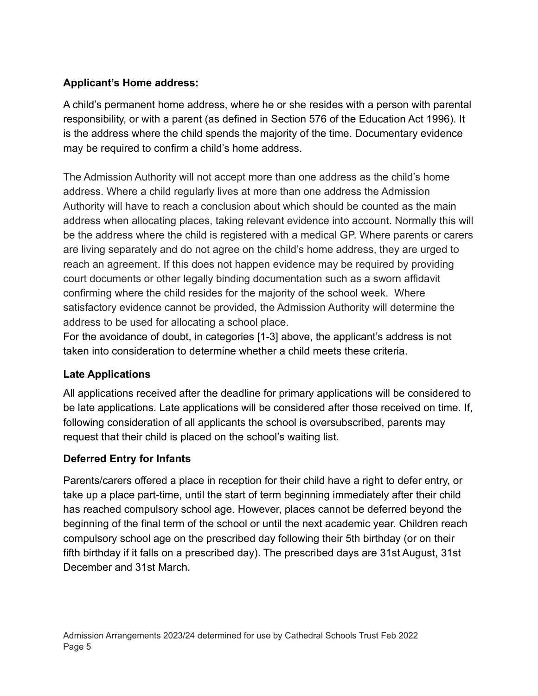### **Applicant's Home address:**

A child's permanent home address, where he or she resides with a person with parental responsibility, or with a parent (as defined in Section 576 of the Education Act 1996). It is the address where the child spends the majority of the time. Documentary evidence may be required to confirm a child's home address.

The Admission Authority will not accept more than one address as the child's home address. Where a child regularly lives at more than one address the Admission Authority will have to reach a conclusion about which should be counted as the main address when allocating places, taking relevant evidence into account. Normally this will be the address where the child is registered with a medical GP. Where parents or carers are living separately and do not agree on the child's home address, they are urged to reach an agreement. If this does not happen evidence may be required by providing court documents or other legally binding documentation such as a sworn affidavit confirming where the child resides for the majority of the school week. Where satisfactory evidence cannot be provided, the Admission Authority will determine the address to be used for allocating a school place.

For the avoidance of doubt, in categories [1-3] above, the applicant's address is not taken into consideration to determine whether a child meets these criteria.

### **Late Applications**

All applications received after the deadline for primary applications will be considered to be late applications. Late applications will be considered after those received on time. If, following consideration of all applicants the school is oversubscribed, parents may request that their child is placed on the school's waiting list.

## **Deferred Entry for Infants**

Parents/carers offered a place in reception for their child have a right to defer entry, or take up a place part-time, until the start of term beginning immediately after their child has reached compulsory school age. However, places cannot be deferred beyond the beginning of the final term of the school or until the next academic year. Children reach compulsory school age on the prescribed day following their 5th birthday (or on their fifth birthday if it falls on a prescribed day). The prescribed days are 31st August, 31st December and 31st March.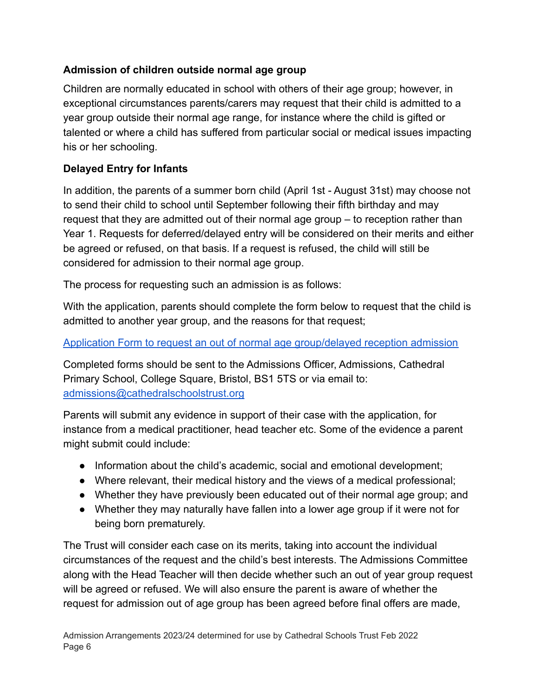### **Admission of children outside normal age group**

Children are normally educated in school with others of their age group; however, in exceptional circumstances parents/carers may request that their child is admitted to a year group outside their normal age range, for instance where the child is gifted or talented or where a child has suffered from particular social or medical issues impacting his or her schooling.

## **Delayed Entry for Infants**

In addition, the parents of a summer born child (April 1st - August 31st) may choose not to send their child to school until September following their fifth birthday and may request that they are admitted out of their normal age group – to reception rather than Year 1. Requests for deferred/delayed entry will be considered on their merits and either be agreed or refused, on that basis. If a request is refused, the child will still be considered for admission to their normal age group.

The process for requesting such an admission is as follows:

With the application, parents should complete the form below to request that the child is admitted to another year group, and the reasons for that request;

#### [Application Form to request an out of normal age group/delayed reception admission](https://docs.google.com/document/d/1e7YCsOnKqxdYurSYDYV2Ya1JSwGB7AkF/edit?usp=sharing&ouid=111971969837556975984&rtpof=true&sd=true)

Completed forms should be sent to the Admissions Officer, Admissions, Cathedral Primary School, College Square, Bristol, BS1 5TS or via email to: [admissions@cathedralschoolstrust.org](mailto:admissions@cathedralschoolstrust.org)

Parents will submit any evidence in support of their case with the application, for instance from a medical practitioner, head teacher etc. Some of the evidence a parent might submit could include:

- Information about the child's academic, social and emotional development;
- Where relevant, their medical history and the views of a medical professional;
- Whether they have previously been educated out of their normal age group; and
- Whether they may naturally have fallen into a lower age group if it were not for being born prematurely.

The Trust will consider each case on its merits, taking into account the individual circumstances of the request and the child's best interests. The Admissions Committee along with the Head Teacher will then decide whether such an out of year group request will be agreed or refused. We will also ensure the parent is aware of whether the request for admission out of age group has been agreed before final offers are made,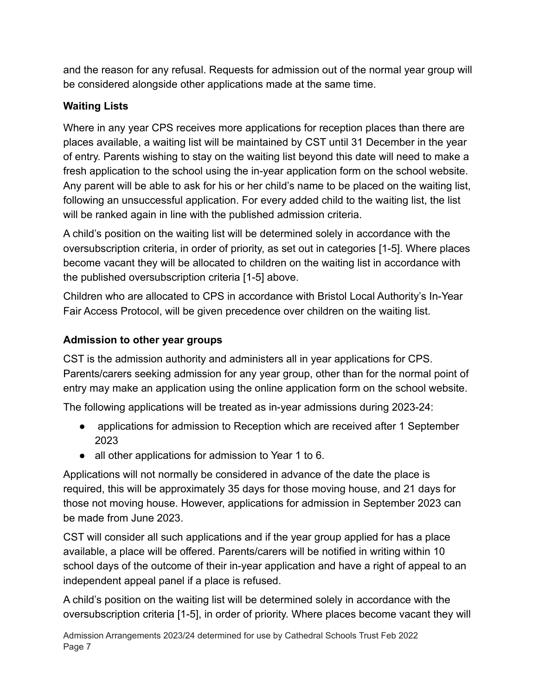and the reason for any refusal. Requests for admission out of the normal year group will be considered alongside other applications made at the same time.

# **Waiting Lists**

Where in any year CPS receives more applications for reception places than there are places available, a waiting list will be maintained by CST until 31 December in the year of entry. Parents wishing to stay on the waiting list beyond this date will need to make a fresh application to the school using the in-year application form on the school website. Any parent will be able to ask for his or her child's name to be placed on the waiting list, following an unsuccessful application. For every added child to the waiting list, the list will be ranked again in line with the published admission criteria.

A child's position on the waiting list will be determined solely in accordance with the oversubscription criteria, in order of priority, as set out in categories [1-5]. Where places become vacant they will be allocated to children on the waiting list in accordance with the published oversubscription criteria [1-5] above.

Children who are allocated to CPS in accordance with Bristol Local Authority's In-Year Fair Access Protocol, will be given precedence over children on the waiting list.

## **Admission to other year groups**

CST is the admission authority and administers all in year applications for CPS. Parents/carers seeking admission for any year group, other than for the normal point of entry may make an application using the online application form on the school website.

The following applications will be treated as in-year admissions during 2023-24:

- applications for admission to Reception which are received after 1 September 2023
- all other applications for admission to Year 1 to 6.

Applications will not normally be considered in advance of the date the place is required, this will be approximately 35 days for those moving house, and 21 days for those not moving house. However, applications for admission in September 2023 can be made from June 2023.

CST will consider all such applications and if the year group applied for has a place available, a place will be offered. Parents/carers will be notified in writing within 10 school days of the outcome of their in-year application and have a right of appeal to an independent appeal panel if a place is refused.

A child's position on the waiting list will be determined solely in accordance with the oversubscription criteria [1-5], in order of priority. Where places become vacant they will

Admission Arrangements 2023/24 determined for use by Cathedral Schools Trust Feb 2022 Page 7